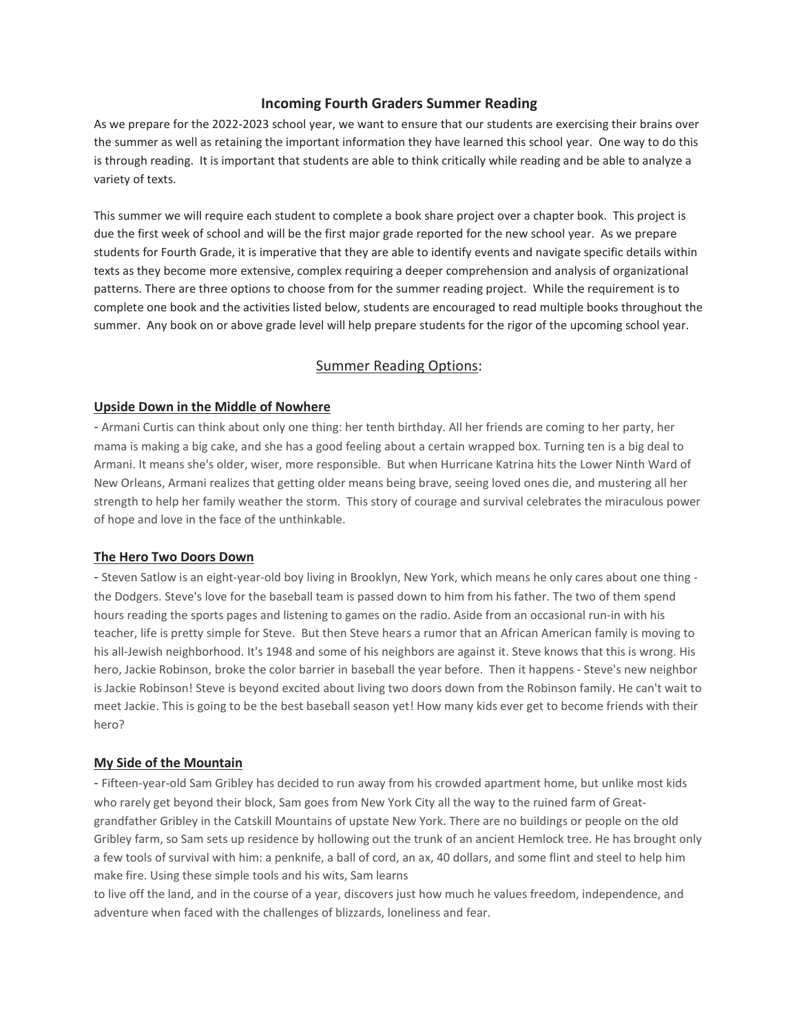### **Incoming Fourth Graders Summer Reading**

As we prepare for the 2022-2023 school year, we want to ensure that our students are exercising their brains over the summer as well as retaining the important information they have learned this school year. One way to do this is through reading. It is important that students are able to think critically while reading and be able to analyze a variety of texts.

This summer we will require each student to complete a book share project over a chapter book. This project is due the first week of school and will be the first major grade reported for the new school year. As we prepare students for Fourth Grade, it is imperative that they are able to identify events and navigate specific details within texts as they become more extensive, complex requiring a deeper comprehension and analysis of organizational patterns. There are three options to choose from for the summer reading project. While the requirement is to complete one book and the activities listed below, students are encouraged to read multiple books throughout the summer. Any book on or above grade level will help prepare students for the rigor of the upcoming school year.

### Summer Reading Options:

### **Upside Down in the Middle of Nowhere**

- Armani Curtis can think about only one thing: her tenth birthday. All her friends are coming to her party, her mama is making a big cake, and she has a good feeling about a certain wrapped box. Turning ten is a big deal to Armani. It means she's older, wiser, more responsible. But when Hurricane Katrina hits the Lower Ninth Ward of New Orleans, Armani realizes that getting older means being brave, seeing loved ones die, and mustering all her strength to help her family weather the storm. This story of courage and survival celebrates the miraculous power of hope and love in the face of the unthinkable.

### **The Hero Two Doors Down**

- Steven Satlow is an eight-year-old boy living in Brooklyn, New York, which means he only cares about one thing the Dodgers. Steve's love for the baseball team is passed down to him from his father. The two of them spend hours reading the sports pages and listening to games on the radio. Aside from an occasional run-in with his teacher, life is pretty simple for Steve. But then Steve hears a rumor that an African American family is moving to his all-Jewish neighborhood. It's 1948 and some of his neighbors are against it. Steve knows that this is wrong. His hero, Jackie Robinson, broke the color barrier in baseball the year before. Then it happens - Steve's new neighbor is Jackie Robinson! Steve is beyond excited about living two doors down from the Robinson family. He can't wait to meet Jackie. This is going to be the best baseball season yet! How many kids ever get to become friends with their hero?

#### **My Side of the Mountain**

- Fifteen-year-old Sam Gribley has decided to run away from his crowded apartment home, but unlike most kids who rarely get beyond their block, Sam goes from New York City all the way to the ruined farm of Greatgrandfather Gribley in the Catskill Mountains of upstate New York. There are no buildings or people on the old Gribley farm, so Sam sets up residence by hollowing out the trunk of an ancient Hemlock tree. He has brought only a few tools of survival with him: a penknife, a ball of cord, an ax, 40 dollars, and some flint and steel to help him make fire. Using these simple tools and his wits, Sam learns

to live off the land, and in the course of a year, discovers just how much he values freedom, independence, and adventure when faced with the challenges of blizzards, loneliness and fear.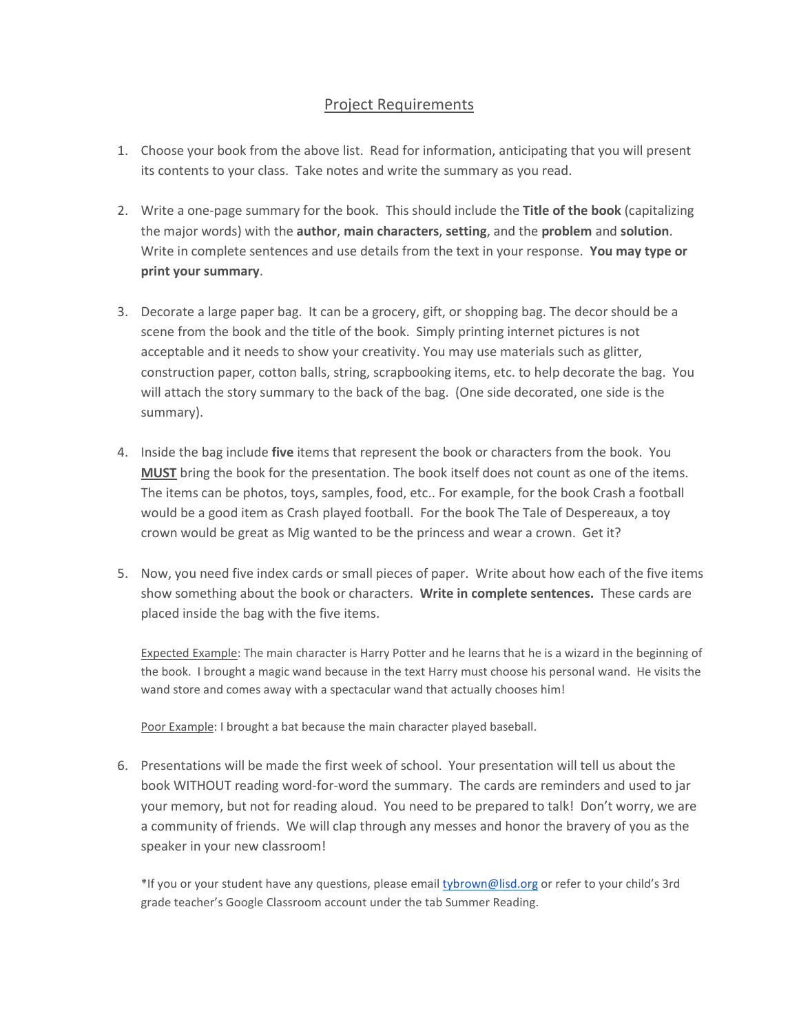# Project Requirements

- 1. Choose your book from the above list. Read for information, anticipating that you will present its contents to your class. Take notes and write the summary as you read.
- 2. Write a one-page summary for the book. This should include the **Title of the book** (capitalizing the major words) with the **author**, **main characters**, **setting**, and the **problem** and **solution**. Write in complete sentences and use details from the text in your response. **You may type or print your summary**.
- 3. Decorate a large paper bag. It can be a grocery, gift, or shopping bag. The decor should be a scene from the book and the title of the book. Simply printing internet pictures is not acceptable and it needs to show your creativity. You may use materials such as glitter, construction paper, cotton balls, string, scrapbooking items, etc. to help decorate the bag. You will attach the story summary to the back of the bag. (One side decorated, one side is the summary).
- 4. Inside the bag include **five** items that represent the book or characters from the book. You **MUST** bring the book for the presentation. The book itself does not count as one of the items. The items can be photos, toys, samples, food, etc.. For example, for the book Crash a football would be a good item as Crash played football. For the book The Tale of Despereaux, a toy crown would be great as Mig wanted to be the princess and wear a crown. Get it?
- 5. Now, you need five index cards or small pieces of paper. Write about how each of the five items show something about the book or characters. **Write in complete sentences.** These cards are placed inside the bag with the five items.

Expected Example: The main character is Harry Potter and he learns that he is a wizard in the beginning of the book. I brought a magic wand because in the text Harry must choose his personal wand. He visits the wand store and comes away with a spectacular wand that actually chooses him!

Poor Example: I brought a bat because the main character played baseball.

6. Presentations will be made the first week of school. Your presentation will tell us about the book WITHOUT reading word-for-word the summary. The cards are reminders and used to jar your memory, but not for reading aloud. You need to be prepared to talk! Don't worry, we are a community of friends. We will clap through any messes and honor the bravery of you as the speaker in your new classroom!

\*If you or your student have any questions, please emai[l tybrown@lisd.org](mailto:tybrown@lisd.org) or refer to your child's 3rd grade teacher's Google Classroom account under the tab Summer Reading.